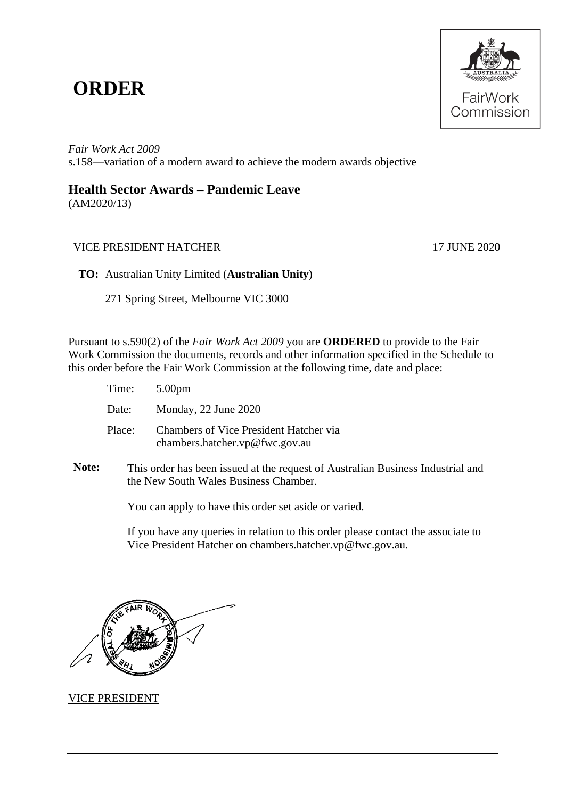# **ORDER**



*Fair Work Act 2009*  s.158—variation of a modern award to achieve the modern awards objective

# **Health Sector Awards – Pandemic Leave**

(AM2020/13)

## VICE PRESIDENT HATCHER 17 JUNE 2020

**TO:** Australian Unity Limited (**Australian Unity**)

271 Spring Street, Melbourne VIC 3000

Pursuant to s.590(2) of the *Fair Work Act 2009* you are **ORDERED** to provide to the Fair Work Commission the documents, records and other information specified in the Schedule to this order before the Fair Work Commission at the following time, date and place:

| Time: 5.00pm |                                                                          |
|--------------|--------------------------------------------------------------------------|
| Date:        | Monday, 22 June 2020                                                     |
| Place:       | Chambers of Vice President Hatcher via<br>chambers.hatcher.vp@fwc.gov.au |

**Note:** This order has been issued at the request of Australian Business Industrial and the New South Wales Business Chamber*.*

You can apply to have this order set aside or varied.

If you have any queries in relation to this order please contact the associate to Vice President Hatcher on chambers.hatcher.vp@fwc.gov.au.



### VICE PRESIDENT